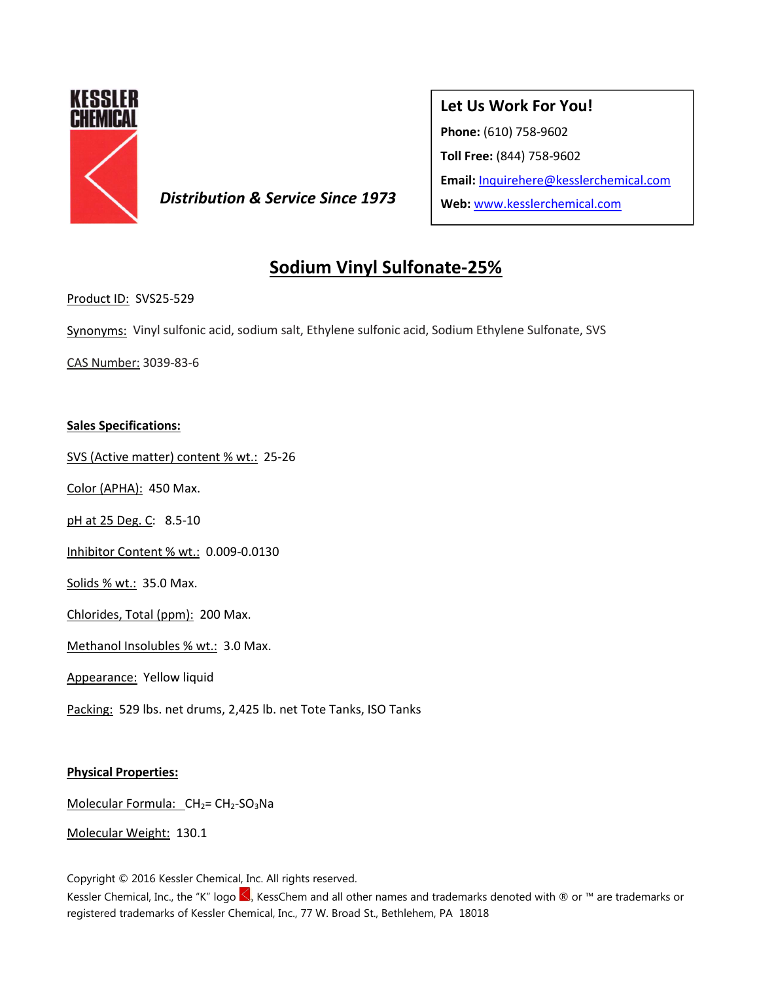

**Distribution & Service Since 1973** Web: www.kesslerchemical.com

# **Let Us Work For You!**

**Phone:** (610) 758-9602

**Toll Free:** (844) 758-9602

**Email:** Inquirehere@kesslerchemical.com

# **Sodium Vinyl Sulfonate-25%**

Product ID: SVS25-529

Synonyms: Vinyl sulfonic acid, sodium salt, Ethylene sulfonic acid, Sodium Ethylene Sulfonate, SVS

CAS Number: 3039-83-6

## **Sales Specifications:**

SVS (Active matter) content % wt.: 25-26

Color (APHA): 450 Max.

pH at 25 Deg. C: 8.5-10

Inhibitor Content % wt.: 0.009-0.0130

Solids % wt.: 35.0 Max.

Chlorides, Total (ppm): 200 Max.

Methanol Insolubles % wt.: 3.0 Max.

Appearance: Yellow liquid

Packing: 529 lbs. net drums, 2,425 lb. net Tote Tanks, ISO Tanks

#### **Physical Properties:**

Molecular Formula: CH<sub>2</sub>= CH<sub>2</sub>-SO<sub>3</sub>Na

Molecular Weight: 130.1

Copyright © 2016 Kessler Chemical, Inc. All rights reserved.

Kessler Chemical, Inc., the "K" logo <, KessChem and all other names and trademarks denoted with ® or ™ are trademarks or registered trademarks of Kessler Chemical, Inc., 77 W. Broad St., Bethlehem, PA 18018